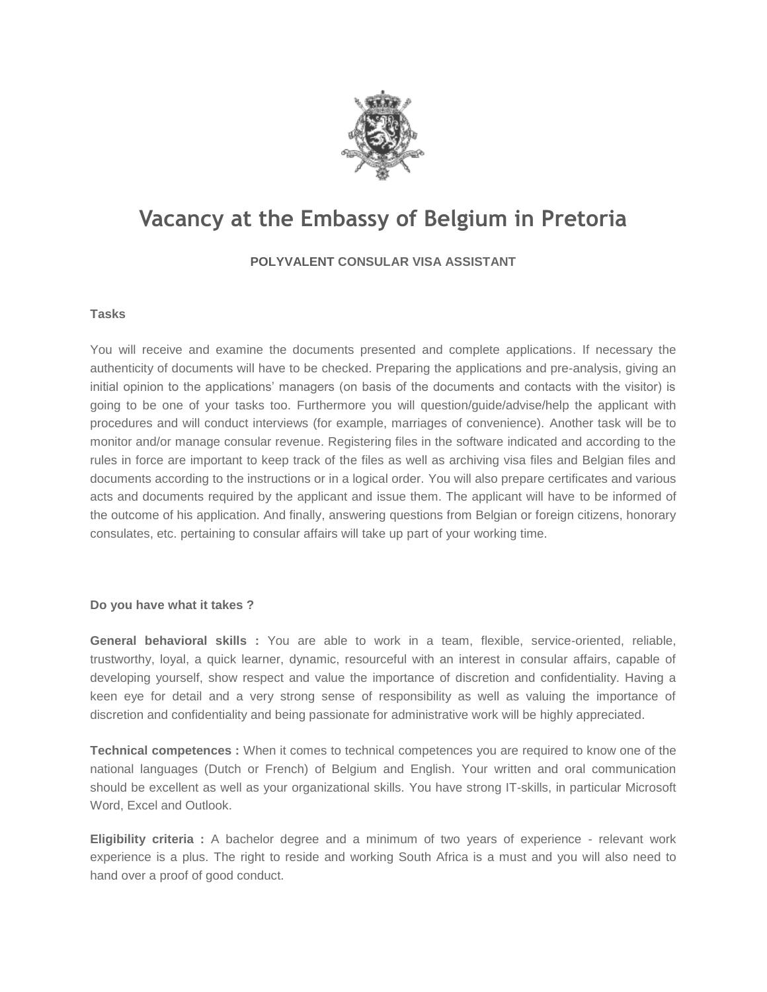

# **Vacancy at the Embassy of Belgium in Pretoria**

# **POLYVALENT CONSULAR VISA ASSISTANT**

## **Tasks**

You will receive and examine the documents presented and complete applications. If necessary the authenticity of documents will have to be checked. Preparing the applications and pre-analysis, giving an initial opinion to the applications' managers (on basis of the documents and contacts with the visitor) is going to be one of your tasks too. Furthermore you will question/guide/advise/help the applicant with procedures and will conduct interviews (for example, marriages of convenience). Another task will be to monitor and/or manage consular revenue. Registering files in the software indicated and according to the rules in force are important to keep track of the files as well as archiving visa files and Belgian files and documents according to the instructions or in a logical order. You will also prepare certificates and various acts and documents required by the applicant and issue them. The applicant will have to be informed of the outcome of his application. And finally, answering questions from Belgian or foreign citizens, honorary consulates, etc. pertaining to consular affairs will take up part of your working time.

#### **Do you have what it takes ?**

**General behavioral skills :** You are able to work in a team, flexible, service-oriented, reliable, trustworthy, loyal, a quick learner, dynamic, resourceful with an interest in consular affairs, capable of developing yourself, show respect and value the importance of discretion and confidentiality. Having a keen eye for detail and a very strong sense of responsibility as well as valuing the importance of discretion and confidentiality and being passionate for administrative work will be highly appreciated.

**Technical competences :** When it comes to technical competences you are required to know one of the national languages (Dutch or French) of Belgium and English. Your written and oral communication should be excellent as well as your organizational skills. You have strong IT-skills, in particular Microsoft Word, Excel and Outlook.

**Eligibility criteria :** A bachelor degree and a minimum of two years of experience - relevant work experience is a plus. The right to reside and working South Africa is a must and you will also need to hand over a proof of good conduct.